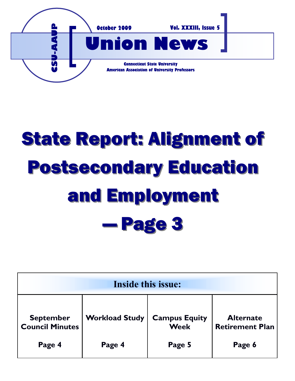

# State Report: Alignment of Postsecondary Education and Employment — Page 3

| <b>Inside this issue:</b>                  |                       |                                     |                                            |
|--------------------------------------------|-----------------------|-------------------------------------|--------------------------------------------|
| <b>September</b><br><b>Council Minutes</b> | <b>Workload Study</b> | <b>Campus Equity</b><br><b>Week</b> | <b>Alternate</b><br><b>Retirement Plan</b> |
| Page 4                                     | Page 4                | Page 5                              | Page 6                                     |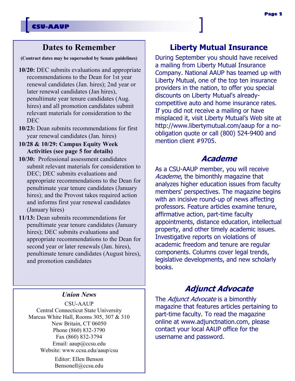#### **Dates to Remember**

**(Contract dates may be superseded by Senate guidelines)**

- **10/20:** DEC submits evaluations and appropriate recommendations to the Dean for 1st year renewal candidates (Jan. hires); 2nd year or later renewal candidates (Jan hires), penultimate year tenure candidates (Aug. hires) and all promotion candidates submit relevant materials for consideration to the DEC
- **10/23:** Dean submits recommendations for first year renewal candidates (Jan. hires)
- **10/28 & 10/29: Campus Equity Week Activities (see page 5 for details)**
- **10/30:** Professional assessment candidates submit relevant materials for consideration to DEC; DEC submits evaluations and appropriate recommendations to the Dean for penultimate year tenure candidates (January hires); and the Provost takes required action and informs first year renewal candidates (January hires)
- **11/13:** Dean submits recommendations for penultimate year tenure candidates (January hires); DEC submits evaluations and appropriate recommendations to the Dean for second year or later renewals (Jan. hires), penultimate tenure candidates (August hires), and promotion candidates

#### *Union News*

CSU-AAUP Central Connecticut State University Marcus White Hall, Rooms 305, 307 & 310 New Britain, CT 06050 Phone (860) 832-3790 Fax (860) 832-3794 Email: aaup@ccsu.edu Website: www.ccsu.edu/aaup/csu

> Editor: Ellen Benson Bensonell@ccsu.edu

#### **Liberty Mutual Insurance**

During September you should have received a mailing from Liberty Mutual Insurance Company. National AAUP has teamed up with Liberty Mutual, one of the top ten insurance providers in the nation, to offer you special discounts on Liberty Mutual's alreadycompetitive auto and home insurance rates. If you did not receive a mailing or have misplaced it, visit Liberty Mutual's Web site at http://www.libertymutual.com/aaup for a noobligation quote or call (800) 524-9400 and mention client #9705.

#### **Academe**

As a CSU-AAUP member, you will receive Academe, the bimonthly magazine that analyzes higher education issues from faculty members' perspectives. The magazine begins with an incisive round-up of news affecting professors. Feature articles examine tenure, affirmative action, part-time faculty appointments, distance education, intellectual property, and other timely academic issues. Investigative reports on violations of academic freedom and tenure are regular components. Columns cover legal trends, legislative developments, and new scholarly books.

#### **Adjunct Advocate**

The Adjunct Advocate is a bimonthly magazine that features articles pertaining to part-time faculty. To read the magazine online at www.adjunctnation.com, please contact your local AAUP office for the username and password.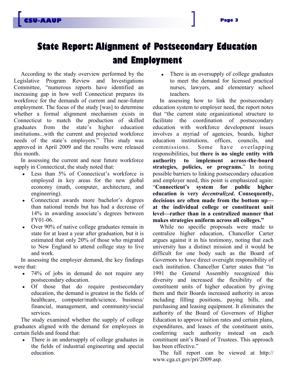# **State Report: Alignment of Postsecondary Education and Employment**

According to the study overview performed by the Legislative Program Review and Investigations Committee, "numerous reports have identified an increasing gap in how well Connecticut prepares its workforce for the demands of current and near-future employment. The focus of the study [was] to determine whether a formal alignment mechanism exists in Connecticut to match the production of skilled graduates from the state's higher education institutions...with the current and projected workforce needs of the state's employers." This study was approved in April 2009 and the results were released this month.

In assessing the current and near future workforce supply in Connecticut, the study noted that:

- Less than 5% of Connecticut's workforce is employed in key areas for the new global economy (math, computer, architecture, and engineering).
- Connecticut awards more bachelor's degrees  $\bullet$ than national trends but has had a decrease of 14% in awarding associate's degrees between FY01-06.
- Over 90% of native college graduates remain in  $\bullet$ state for at least a year after graduation, but it is estimated that only 20% of those who migrated to New England to attend college stay to live and work.

In assessing the employer demand, the key findings were that:

- 74% of jobs in demand do not require any  $\bullet$ postsecondary education.
- Of those that do require postsecondary  $\bullet$ education, the demand is greatest in the fields of healthcare, computer/math/science, business/ financial, management, and community/social services.

The study examined whether the supply of college graduates aligned with the demand for employees in certain fields and found that:

There is an undersupply of college graduates in the fields of industrial engineering and special education.

• There is an oversupply of college graduates to meet the demand for licensed practical nurses, lawyers, and elementary school teachers.

In assessing how to link the postsecondary education system to employer need, the report notes that "the current state organizational structure to facilitate the coordination of postsecondary education with workforce development issues involves a myriad of agencies, boards, higher education institutions, offices, councils, and commissions. Some have overlapping responsibilities, but **there is no single entity with authority to implement across-the-board strategies, policies, or programs.**" In noting possible barriers to linking postsecondary education and employer need, this point is emphasized again: "**Connecticut's system for public higher education is very** *decentralized***. Consequently, decisions are often made from the bottom up at the individual college or constituent unit level—rather than in a centralized manner that makes strategies uniform across all colleges."**

While no specific proposals were made to centralize higher education, Chancellor Carter argues against it in his testimony, noting that each university has a distinct mission and it would be difficult for one body such as the Board of Governors to have direct oversight responsibility of each institution. Chancellor Carter states that "in 1991 the General Assembly recognized this diversity and increased the flexibility of the constituent units of higher education by giving them and their Boards increased authority in areas including filling positions, paying bills, and purchasing and leasing equipment. It eliminates the authority of the Board of Governors of Higher Education to approve tuition rates and certain plans, expenditures, and leases of the constituent units, conferring such authority instead on each constituent unit's Board of Trustees. This approach has been effective."

The full report can be viewed at http:// www.cga.ct.gov/pri/2009.asp.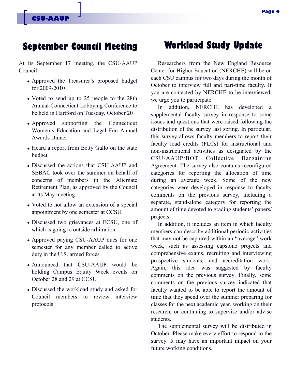# **September Council Meeting Workload Study Update**

At its September 17 meeting, the CSU-AAUP Council:

- Approved the Treasurer's proposed budget for 2009-2010
- Voted to send up to 25 people to the 28th Annual Connecticut Lobbying Conference to be held in Hartford on Tuesday, October 20
- Approved supporting the Connecticut Women's Education and Legal Fun Annual Awards Dinner
- Heard a report from Betty Gallo on the state budget
- Discussed the actions that CSU-AAUP and SEBAC took over the summer on behalf of concerns of members in the Alternate Retirement Plan, as approved by the Council at its May meeting
- Voted to not allow an extension of a special appointment by one semester at CCSU
- Discussed two grievances at ECSU, one of which is going to outside arbitration
- Approved paying CSU-AAUP dues for one semester for any member called to active duty in the U.S. armed forces
- Announced that CSU-AAUP would be holding Campus Equity Week events on October 28 and 29 at CCSU
- Discussed the workload study and asked for Council members to review interview protocols

Researchers from the New England Resource Center for Higher Education (NERCHE) will be on each CSU campus for two days during the month of October to interview full and part-time faculty. If you are contacted by NERCHE to be interviewed, we urge you to participate.

In addition, NERCHE has developed a supplemental faculty survey in response to some issues and questions that were raised following the distribution of the survey last spring. In particular, this survey allows faculty members to report their faculty load credits (FLCs) for instructional and non-instructional activities as designated by the CSU-AAUP/BOT Collective Bargaining Agreement. The survey also contains reconfigured categories for reporting the allocation of time during an average week. Some of the new categories were developed in response to faculty comments on the previous survey, including a separate, stand-alone category for reporting the amount of time devoted to grading students' papers/ projects.

In addition, it includes an item in which faculty members can describe additional periodic activities that may not be captured within an "average" work week, such as assessing capstone projects and comprehensive exams, recruiting and interviewing prospective students, and accreditation work. Again, this idea was suggested by faculty comments on the previous survey. Finally, some comments on the previous survey indicated that faculty wanted to be able to report the amount of time that they spend over the summer preparing for classes for the next academic year, working on their research, or continuing to supervise and/or advise students.

The supplemental survey will be distributed in October. Please make every effort to respond to the survey. It may have an important impact on your future working conditions.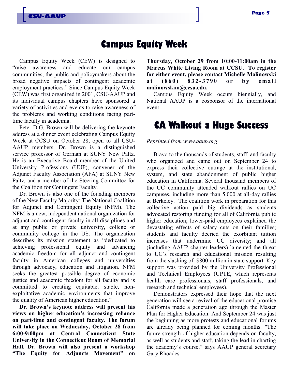## **Campus Equity Week**

Campus Equity Week (CEW) is designed to "raise awareness and educate our campus communities, the public and policymakers about the broad negative impacts of contingent academic employment practices." Since Campus Equity Week (CEW) was first organized in 2001, CSU-AAUP and its individual campus chapters have sponsored a variety of activities and events to raise awareness of the problems and working conditions facing parttime faculty in academia.

**CSU-AAUP**

Peter D.G. Brown will be delivering the keynote address at a dinner event celebrating Campus Equity Week at CCSU on October 28, open to all CSU-AAUP members. Dr. Brown is a distinguished service professor of German at SUNY New Paltz. He is an Executive Board member of the United University Professions (UUP), convener of the Adjunct Faculty Association (AFA) at SUNY New Paltz, and a member of the Steering Committee for the Coalition for Contingent Faculty.

Dr. Brown is also one of the founding members of the New Faculty Majority: The National Coalition for Adjunct and Contingent Equity (NFM). The NFM is a new, independent national organization for adjunct and contingent faculty in all disciplines and at any public or private university, college or community college in the US. The organization describes its mission statement as "dedicated to achieving professional equity and advancing academic freedom for all adjunct and contingent faculty in American colleges and universities through advocacy, education and litigation. NFM seeks the greatest possible degree of economic justice and academic freedom for all faculty and is committed to creating equitable, stable, nonexploitative academic environments that improve the quality of American higher education."

**Dr. Brown's keynote address will present his views on higher education's increasing reliance on part-time and contingent faculty. The forum will take place on Wednesday, October 28 from 6:00-9:00pm at Central Connecticut State University in the Connecticut Room of Memorial Hall. Dr. Brown will also present a workshop "The Equity for Adjuncts Movement" on**  **Thursday, October 29 from 10:00-11:00am in the Marcus White Living Room at CCSU. To register for either event, please contact Michelle Malinowski a t ( 8 6 0 ) 8 3 2 - 3 7 9 0 o r b y e m a i l malinowskim@ccsu.edu.** 

Campus Equity Week occurs biennially, and National AAUP is a cosponsor of the international event.

## **CA Walkout a Huge Success**

#### *Reprinted from www.aaup.org*

Bravo to the thousands of students, staff, and faculty who organized and came out on September 24 to express their collective outrage at the institutional, system, and state abandonment of public higher education in California. Several thousand members of the UC community attended walkout rallies on UC campuses, including more than 5,000 at all-day rallies at Berkeley. The coalition work in preparation for this collective action paid big dividends as students advocated restoring funding for all of California public higher education; lower-paid employees explained the devastating effects of salary cuts on their families; students and faculty decried the exorbitant tuition increases that undermine UC diversity; and all (including AAUP chapter leaders) lamented the threat to UC's research and educational mission resulting from the slashing of \$800 million in state support. Key support was provided by the University Professional and Technical Employees (UPTE, which represents health care professionals, staff professionals, and research and technical employees).

Demonstrators expressed their hope that the next generation will see a revival of the educational promise California made a generation ago through the Master Plan for Higher Education. And September 24 was just the beginning as more protests and educational forums are already being planned for coming months. "The future strength of higher education depends on faculty, as well as students and staff, taking the lead in charting the academy's course," says AAUP general secretary Gary Rhoades.